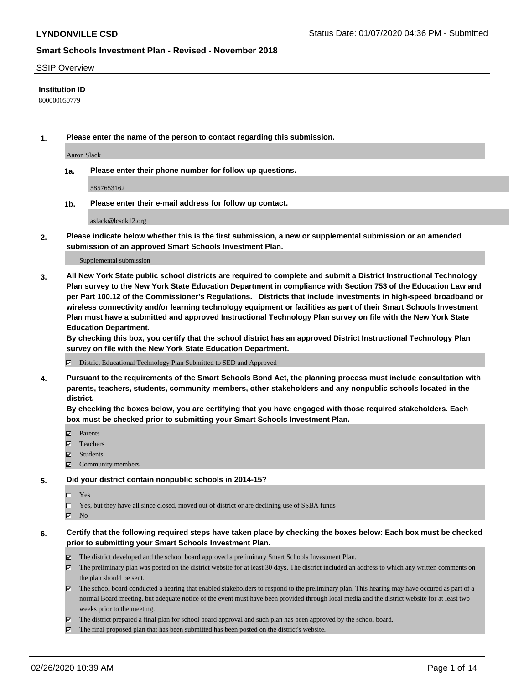#### SSIP Overview

#### **Institution ID**

800000050779

**1. Please enter the name of the person to contact regarding this submission.**

Aaron Slack

**1a. Please enter their phone number for follow up questions.**

5857653162

**1b. Please enter their e-mail address for follow up contact.**

aslack@lcsdk12.org

**2. Please indicate below whether this is the first submission, a new or supplemental submission or an amended submission of an approved Smart Schools Investment Plan.**

#### Supplemental submission

**3. All New York State public school districts are required to complete and submit a District Instructional Technology Plan survey to the New York State Education Department in compliance with Section 753 of the Education Law and per Part 100.12 of the Commissioner's Regulations. Districts that include investments in high-speed broadband or wireless connectivity and/or learning technology equipment or facilities as part of their Smart Schools Investment Plan must have a submitted and approved Instructional Technology Plan survey on file with the New York State Education Department.** 

**By checking this box, you certify that the school district has an approved District Instructional Technology Plan survey on file with the New York State Education Department.**

District Educational Technology Plan Submitted to SED and Approved

**4. Pursuant to the requirements of the Smart Schools Bond Act, the planning process must include consultation with parents, teachers, students, community members, other stakeholders and any nonpublic schools located in the district.** 

**By checking the boxes below, you are certifying that you have engaged with those required stakeholders. Each box must be checked prior to submitting your Smart Schools Investment Plan.**

- **マ** Parents
- Teachers
- Students
- Community members

#### **5. Did your district contain nonpublic schools in 2014-15?**

 $\neg$  Yes

Yes, but they have all since closed, moved out of district or are declining use of SSBA funds

**Z** No

#### **6. Certify that the following required steps have taken place by checking the boxes below: Each box must be checked prior to submitting your Smart Schools Investment Plan.**

- The district developed and the school board approved a preliminary Smart Schools Investment Plan.
- $\boxtimes$  The preliminary plan was posted on the district website for at least 30 days. The district included an address to which any written comments on the plan should be sent.
- $\boxtimes$  The school board conducted a hearing that enabled stakeholders to respond to the preliminary plan. This hearing may have occured as part of a normal Board meeting, but adequate notice of the event must have been provided through local media and the district website for at least two weeks prior to the meeting.
- The district prepared a final plan for school board approval and such plan has been approved by the school board.
- $\boxtimes$  The final proposed plan that has been submitted has been posted on the district's website.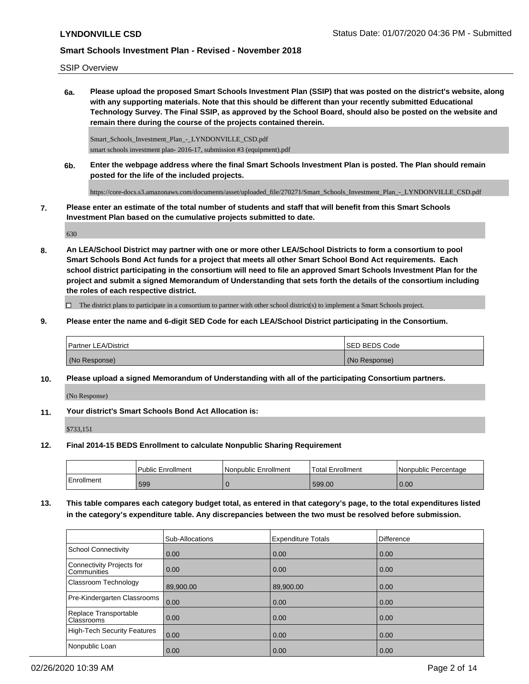### SSIP Overview

**6a. Please upload the proposed Smart Schools Investment Plan (SSIP) that was posted on the district's website, along with any supporting materials. Note that this should be different than your recently submitted Educational Technology Survey. The Final SSIP, as approved by the School Board, should also be posted on the website and remain there during the course of the projects contained therein.**

Smart\_Schools\_Investment\_Plan\_-\_LYNDONVILLE\_CSD.pdf smart schools investment plan- 2016-17, submission #3 (equipment).pdf

**6b. Enter the webpage address where the final Smart Schools Investment Plan is posted. The Plan should remain posted for the life of the included projects.**

https://core-docs.s3.amazonaws.com/documents/asset/uploaded\_file/270271/Smart\_Schools\_Investment\_Plan\_-\_LYNDONVILLE\_CSD.pdf

**7. Please enter an estimate of the total number of students and staff that will benefit from this Smart Schools Investment Plan based on the cumulative projects submitted to date.**

630

**8. An LEA/School District may partner with one or more other LEA/School Districts to form a consortium to pool Smart Schools Bond Act funds for a project that meets all other Smart School Bond Act requirements. Each school district participating in the consortium will need to file an approved Smart Schools Investment Plan for the project and submit a signed Memorandum of Understanding that sets forth the details of the consortium including the roles of each respective district.**

 $\Box$  The district plans to participate in a consortium to partner with other school district(s) to implement a Smart Schools project.

**9. Please enter the name and 6-digit SED Code for each LEA/School District participating in the Consortium.**

| <b>Partner LEA/District</b> | <b>ISED BEDS Code</b> |
|-----------------------------|-----------------------|
| (No Response)               | (No Response)         |

**10. Please upload a signed Memorandum of Understanding with all of the participating Consortium partners.**

(No Response)

**11. Your district's Smart Schools Bond Act Allocation is:**

\$733,151

**12. Final 2014-15 BEDS Enrollment to calculate Nonpublic Sharing Requirement**

|              | Public Enrollment | l Nonpublic Enrollment | Total Enrollment | I Nonpublic Percentage |
|--------------|-------------------|------------------------|------------------|------------------------|
| l Enrollment | 599               |                        | 599.00           | 0.00                   |

**13. This table compares each category budget total, as entered in that category's page, to the total expenditures listed in the category's expenditure table. Any discrepancies between the two must be resolved before submission.**

|                                                 | Sub-Allocations | <b>Expenditure Totals</b> | Difference |
|-------------------------------------------------|-----------------|---------------------------|------------|
| School Connectivity                             | 0.00            | 0.00                      | 0.00       |
| Connectivity Projects for<br><b>Communities</b> | 0.00            | 0.00                      | 0.00       |
| Classroom Technology                            | 89,900.00       | 89,900.00                 | 0.00       |
| Pre-Kindergarten Classrooms                     | 0.00            | 0.00                      | 0.00       |
| Replace Transportable<br><b>Classrooms</b>      | 0.00            | 0.00                      | 0.00       |
| High-Tech Security Features                     | 0.00            | 0.00                      | 0.00       |
| Nonpublic Loan                                  | 0.00            | 0.00                      | 0.00       |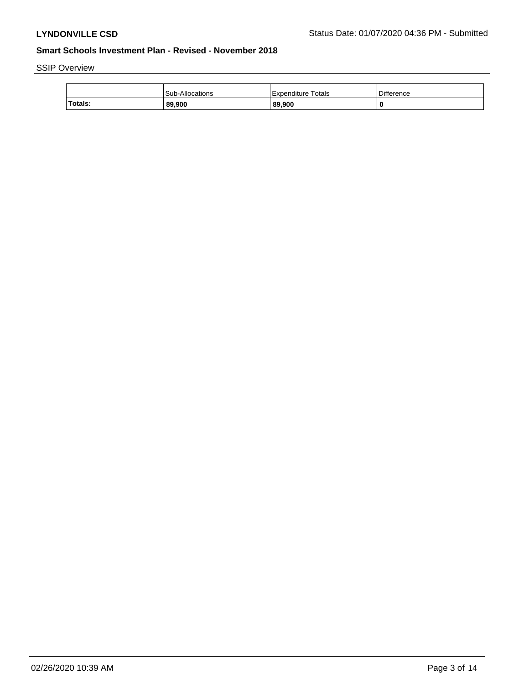SSIP Overview

|         | Sub-Allocations | l Expenditure Totals | Difference |
|---------|-----------------|----------------------|------------|
| Totals: | 89,900          | 89,900               | 0          |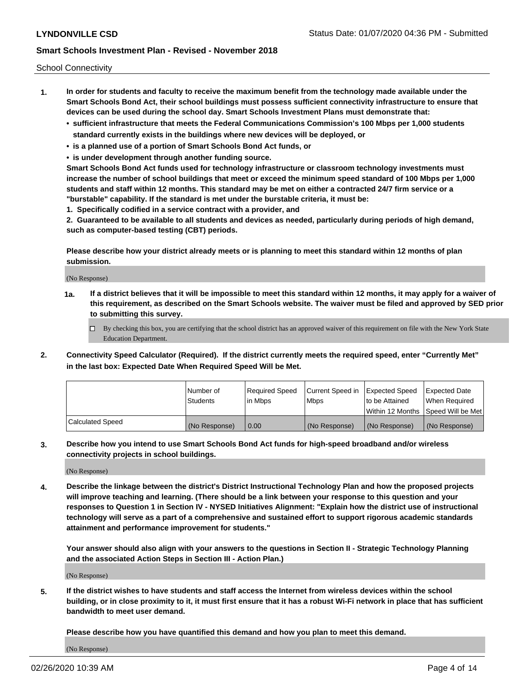School Connectivity

- **1. In order for students and faculty to receive the maximum benefit from the technology made available under the Smart Schools Bond Act, their school buildings must possess sufficient connectivity infrastructure to ensure that devices can be used during the school day. Smart Schools Investment Plans must demonstrate that:**
	- **• sufficient infrastructure that meets the Federal Communications Commission's 100 Mbps per 1,000 students standard currently exists in the buildings where new devices will be deployed, or**
	- **• is a planned use of a portion of Smart Schools Bond Act funds, or**
	- **• is under development through another funding source.**

**Smart Schools Bond Act funds used for technology infrastructure or classroom technology investments must increase the number of school buildings that meet or exceed the minimum speed standard of 100 Mbps per 1,000 students and staff within 12 months. This standard may be met on either a contracted 24/7 firm service or a "burstable" capability. If the standard is met under the burstable criteria, it must be:**

**1. Specifically codified in a service contract with a provider, and**

**2. Guaranteed to be available to all students and devices as needed, particularly during periods of high demand, such as computer-based testing (CBT) periods.**

**Please describe how your district already meets or is planning to meet this standard within 12 months of plan submission.**

(No Response)

**1a. If a district believes that it will be impossible to meet this standard within 12 months, it may apply for a waiver of this requirement, as described on the Smart Schools website. The waiver must be filed and approved by SED prior to submitting this survey.**

 $\Box$  By checking this box, you are certifying that the school district has an approved waiver of this requirement on file with the New York State Education Department.

**2. Connectivity Speed Calculator (Required). If the district currently meets the required speed, enter "Currently Met" in the last box: Expected Date When Required Speed Will be Met.**

|                  | l Number of     | Required Speed | Current Speed in | Expected Speed | Expected Date                           |
|------------------|-----------------|----------------|------------------|----------------|-----------------------------------------|
|                  | <b>Students</b> | In Mbps        | l Mbps           | to be Attained | When Required                           |
|                  |                 |                |                  |                | l Within 12 Months ISpeed Will be Met l |
| Calculated Speed | (No Response)   | 0.00           | (No Response)    | (No Response)  | (No Response)                           |

**3. Describe how you intend to use Smart Schools Bond Act funds for high-speed broadband and/or wireless connectivity projects in school buildings.**

(No Response)

**4. Describe the linkage between the district's District Instructional Technology Plan and how the proposed projects will improve teaching and learning. (There should be a link between your response to this question and your responses to Question 1 in Section IV - NYSED Initiatives Alignment: "Explain how the district use of instructional technology will serve as a part of a comprehensive and sustained effort to support rigorous academic standards attainment and performance improvement for students."** 

**Your answer should also align with your answers to the questions in Section II - Strategic Technology Planning and the associated Action Steps in Section III - Action Plan.)**

(No Response)

**5. If the district wishes to have students and staff access the Internet from wireless devices within the school building, or in close proximity to it, it must first ensure that it has a robust Wi-Fi network in place that has sufficient bandwidth to meet user demand.**

**Please describe how you have quantified this demand and how you plan to meet this demand.**

(No Response)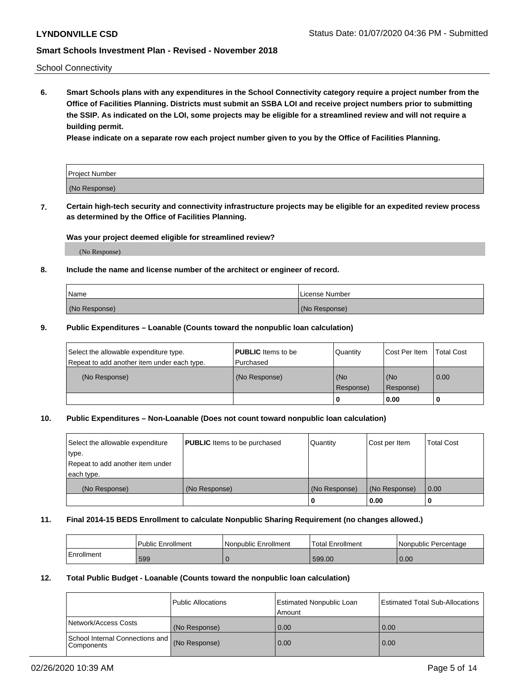School Connectivity

**6. Smart Schools plans with any expenditures in the School Connectivity category require a project number from the Office of Facilities Planning. Districts must submit an SSBA LOI and receive project numbers prior to submitting the SSIP. As indicated on the LOI, some projects may be eligible for a streamlined review and will not require a building permit.**

**Please indicate on a separate row each project number given to you by the Office of Facilities Planning.**

| Project Number |  |
|----------------|--|
| (No Response)  |  |

**7. Certain high-tech security and connectivity infrastructure projects may be eligible for an expedited review process as determined by the Office of Facilities Planning.**

### **Was your project deemed eligible for streamlined review?**

(No Response)

#### **8. Include the name and license number of the architect or engineer of record.**

| Name          | License Number |
|---------------|----------------|
| (No Response) | (No Response)  |

#### **9. Public Expenditures – Loanable (Counts toward the nonpublic loan calculation)**

| Select the allowable expenditure type.<br>Repeat to add another item under each type. | <b>PUBLIC</b> Items to be<br>l Purchased | Quantity           | Cost Per Item    | <b>Total Cost</b> |
|---------------------------------------------------------------------------------------|------------------------------------------|--------------------|------------------|-------------------|
| (No Response)                                                                         | (No Response)                            | l (No<br>Response) | (No<br>Response) | $\overline{0.00}$ |
|                                                                                       |                                          | 0                  | 0.00             |                   |

### **10. Public Expenditures – Non-Loanable (Does not count toward nonpublic loan calculation)**

| Select the allowable expenditure<br>type.<br>Repeat to add another item under<br>each type. | <b>PUBLIC</b> Items to be purchased | Quantity      | Cost per Item | <b>Total Cost</b> |
|---------------------------------------------------------------------------------------------|-------------------------------------|---------------|---------------|-------------------|
| (No Response)                                                                               | (No Response)                       | (No Response) | (No Response) | 0.00              |
|                                                                                             |                                     |               | 0.00          |                   |

#### **11. Final 2014-15 BEDS Enrollment to calculate Nonpublic Sharing Requirement (no changes allowed.)**

|            | Public Enrollment | l Nonpublic Enrollment | <b>Total Enrollment</b> | Nonpublic Percentage |
|------------|-------------------|------------------------|-------------------------|----------------------|
| Enrollment | 599               |                        | 599.00                  | 0.00                 |

#### **12. Total Public Budget - Loanable (Counts toward the nonpublic loan calculation)**

|                                                      | Public Allocations | <b>Estimated Nonpublic Loan</b><br>Amount | Estimated Total Sub-Allocations |
|------------------------------------------------------|--------------------|-------------------------------------------|---------------------------------|
| Network/Access Costs                                 | (No Response)      | 0.00                                      | 0.00                            |
| School Internal Connections and<br><b>Components</b> | (No Response)      | 0.00                                      | 0.00                            |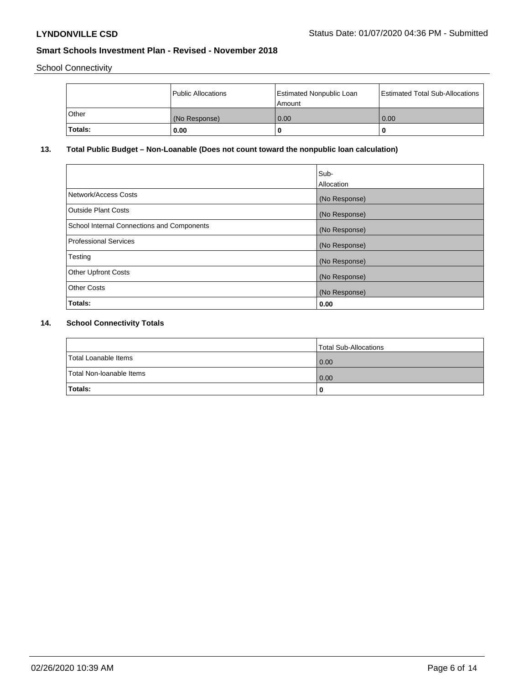School Connectivity

|         | Public Allocations | <b>Estimated Nonpublic Loan</b><br>Amount | <b>Estimated Total Sub-Allocations</b> |
|---------|--------------------|-------------------------------------------|----------------------------------------|
| l Other | (No Response)      | 0.00                                      | 0.00                                   |
| Totals: | 0.00               | 0                                         |                                        |

## **13. Total Public Budget – Non-Loanable (Does not count toward the nonpublic loan calculation)**

|                                                   | Sub-<br>Allocation |
|---------------------------------------------------|--------------------|
| Network/Access Costs                              | (No Response)      |
| <b>Outside Plant Costs</b>                        | (No Response)      |
| <b>School Internal Connections and Components</b> | (No Response)      |
| Professional Services                             | (No Response)      |
| Testing                                           | (No Response)      |
| <b>Other Upfront Costs</b>                        | (No Response)      |
| <b>Other Costs</b>                                | (No Response)      |
| <b>Totals:</b>                                    | 0.00               |

# **14. School Connectivity Totals**

|                          | Total Sub-Allocations |
|--------------------------|-----------------------|
| Total Loanable Items     | 0.00                  |
| Total Non-Ioanable Items | 0.00                  |
| Totals:                  |                       |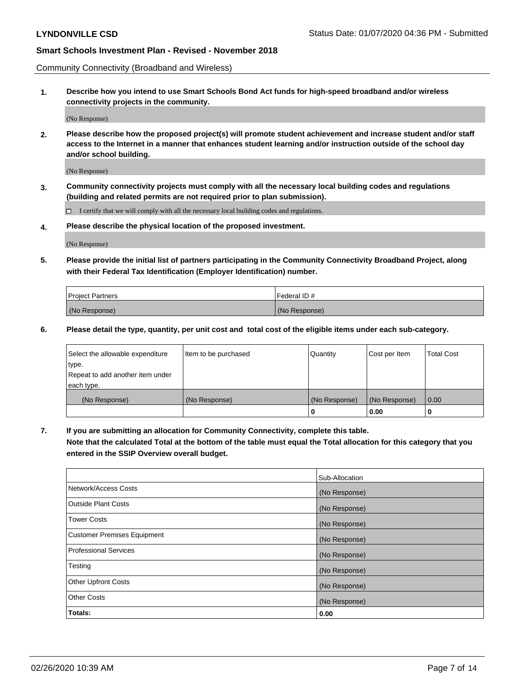Community Connectivity (Broadband and Wireless)

**1. Describe how you intend to use Smart Schools Bond Act funds for high-speed broadband and/or wireless connectivity projects in the community.**

(No Response)

**2. Please describe how the proposed project(s) will promote student achievement and increase student and/or staff access to the Internet in a manner that enhances student learning and/or instruction outside of the school day and/or school building.**

(No Response)

**3. Community connectivity projects must comply with all the necessary local building codes and regulations (building and related permits are not required prior to plan submission).**

 $\Box$  I certify that we will comply with all the necessary local building codes and regulations.

**4. Please describe the physical location of the proposed investment.**

(No Response)

**5. Please provide the initial list of partners participating in the Community Connectivity Broadband Project, along with their Federal Tax Identification (Employer Identification) number.**

| <b>Project Partners</b> | l Federal ID # |
|-------------------------|----------------|
| (No Response)           | (No Response)  |

**6. Please detail the type, quantity, per unit cost and total cost of the eligible items under each sub-category.**

| Select the allowable expenditure | Item to be purchased | Quantity      | Cost per Item | <b>Total Cost</b> |
|----------------------------------|----------------------|---------------|---------------|-------------------|
| type.                            |                      |               |               |                   |
| Repeat to add another item under |                      |               |               |                   |
| each type.                       |                      |               |               |                   |
| (No Response)                    | (No Response)        | (No Response) | (No Response) | 0.00              |
|                                  |                      | o             | 0.00          |                   |

**7. If you are submitting an allocation for Community Connectivity, complete this table.**

**Note that the calculated Total at the bottom of the table must equal the Total allocation for this category that you entered in the SSIP Overview overall budget.**

|                                    | Sub-Allocation |
|------------------------------------|----------------|
| Network/Access Costs               | (No Response)  |
| Outside Plant Costs                | (No Response)  |
| <b>Tower Costs</b>                 | (No Response)  |
| <b>Customer Premises Equipment</b> | (No Response)  |
| <b>Professional Services</b>       | (No Response)  |
| Testing                            | (No Response)  |
| <b>Other Upfront Costs</b>         | (No Response)  |
| <b>Other Costs</b>                 | (No Response)  |
| Totals:                            | 0.00           |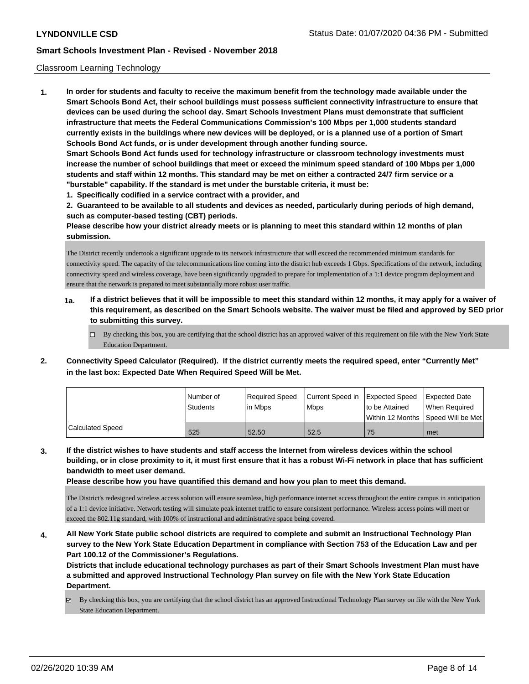#### Classroom Learning Technology

**1. In order for students and faculty to receive the maximum benefit from the technology made available under the Smart Schools Bond Act, their school buildings must possess sufficient connectivity infrastructure to ensure that devices can be used during the school day. Smart Schools Investment Plans must demonstrate that sufficient infrastructure that meets the Federal Communications Commission's 100 Mbps per 1,000 students standard currently exists in the buildings where new devices will be deployed, or is a planned use of a portion of Smart Schools Bond Act funds, or is under development through another funding source. Smart Schools Bond Act funds used for technology infrastructure or classroom technology investments must increase the number of school buildings that meet or exceed the minimum speed standard of 100 Mbps per 1,000 students and staff within 12 months. This standard may be met on either a contracted 24/7 firm service or a "burstable" capability. If the standard is met under the burstable criteria, it must be: 1. Specifically codified in a service contract with a provider, and**

**2. Guaranteed to be available to all students and devices as needed, particularly during periods of high demand, such as computer-based testing (CBT) periods.**

**Please describe how your district already meets or is planning to meet this standard within 12 months of plan submission.**

The District recently undertook a significant upgrade to its network infrastructure that will exceed the recommended minimum standards for connectivity speed. The capacity of the telecommunications line coming into the district hub exceeds 1 Gbps. Specifications of the network, including connectivity speed and wireless coverage, have been significantly upgraded to prepare for implementation of a 1:1 device program deployment and ensure that the network is prepared to meet substantially more robust user traffic.

- **1a. If a district believes that it will be impossible to meet this standard within 12 months, it may apply for a waiver of this requirement, as described on the Smart Schools website. The waiver must be filed and approved by SED prior to submitting this survey.**
	- $\Box$  By checking this box, you are certifying that the school district has an approved waiver of this requirement on file with the New York State Education Department.
- **2. Connectivity Speed Calculator (Required). If the district currently meets the required speed, enter "Currently Met" in the last box: Expected Date When Required Speed Will be Met.**

|                  | l Number of<br><b>Students</b> | Required Speed<br>lin Mbps | Current Speed in Expected Speed<br><b>Mbps</b> | to be Attained                       | Expected Date<br>When Required |
|------------------|--------------------------------|----------------------------|------------------------------------------------|--------------------------------------|--------------------------------|
|                  |                                |                            |                                                | Within 12 Months   Speed Will be Met |                                |
| Calculated Speed | 525                            | 52.50                      | 52.5                                           | 75                                   | met                            |

**3. If the district wishes to have students and staff access the Internet from wireless devices within the school building, or in close proximity to it, it must first ensure that it has a robust Wi-Fi network in place that has sufficient bandwidth to meet user demand.**

**Please describe how you have quantified this demand and how you plan to meet this demand.**

The District's redesigned wireless access solution will ensure seamless, high performance internet access throughout the entire campus in anticipation of a 1:1 device initiative. Network testing will simulate peak internet traffic to ensure consistent performance. Wireless access points will meet or exceed the 802.11g standard, with 100% of instructional and administrative space being covered.

**4. All New York State public school districts are required to complete and submit an Instructional Technology Plan survey to the New York State Education Department in compliance with Section 753 of the Education Law and per Part 100.12 of the Commissioner's Regulations.**

**Districts that include educational technology purchases as part of their Smart Schools Investment Plan must have a submitted and approved Instructional Technology Plan survey on file with the New York State Education Department.**

 $\boxtimes$  By checking this box, you are certifying that the school district has an approved Instructional Technology Plan survey on file with the New York State Education Department.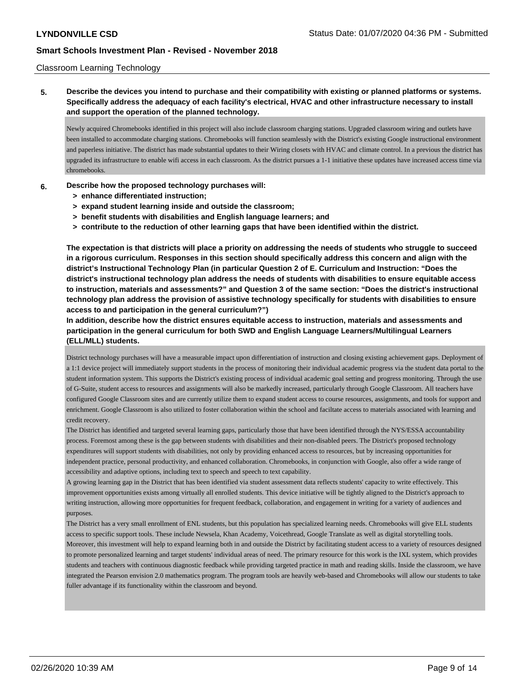#### Classroom Learning Technology

**5. Describe the devices you intend to purchase and their compatibility with existing or planned platforms or systems. Specifically address the adequacy of each facility's electrical, HVAC and other infrastructure necessary to install and support the operation of the planned technology.**

Newly acquired Chromebooks identified in this project will also include classroom charging stations. Upgraded classroom wiring and outlets have been installed to accommodate charging stations. Chromebooks will function seamlessly with the District's existing Google instructional environment and paperless initiative. The district has made substantial updates to their Wiring closets with HVAC and climate control. In a previous the district has upgraded its infrastructure to enable wifi access in each classroom. As the district pursues a 1-1 initiative these updates have increased access time via chromebooks.

#### **6. Describe how the proposed technology purchases will:**

- **> enhance differentiated instruction;**
- **> expand student learning inside and outside the classroom;**
- **> benefit students with disabilities and English language learners; and**
- **> contribute to the reduction of other learning gaps that have been identified within the district.**

**The expectation is that districts will place a priority on addressing the needs of students who struggle to succeed in a rigorous curriculum. Responses in this section should specifically address this concern and align with the district's Instructional Technology Plan (in particular Question 2 of E. Curriculum and Instruction: "Does the district's instructional technology plan address the needs of students with disabilities to ensure equitable access to instruction, materials and assessments?" and Question 3 of the same section: "Does the district's instructional technology plan address the provision of assistive technology specifically for students with disabilities to ensure access to and participation in the general curriculum?")**

**In addition, describe how the district ensures equitable access to instruction, materials and assessments and participation in the general curriculum for both SWD and English Language Learners/Multilingual Learners (ELL/MLL) students.**

District technology purchases will have a measurable impact upon differentiation of instruction and closing existing achievement gaps. Deployment of a 1:1 device project will immediately support students in the process of monitoring their individual academic progress via the student data portal to the student information system. This supports the District's existing process of individual academic goal setting and progress monitoring. Through the use of G-Suite, student access to resources and assignments will also be markedly increased, particularly through Google Classroom. All teachers have configured Google Classroom sites and are currently utilize them to expand student access to course resources, assignments, and tools for support and enrichment. Google Classroom is also utilized to foster collaboration within the school and faciltate access to materials associated with learning and credit recovery.

The District has identified and targeted several learning gaps, particularly those that have been identified through the NYS/ESSA accountability process. Foremost among these is the gap between students with disabilities and their non-disabled peers. The District's proposed technology expenditures will support students with disabilities, not only by providing enhanced access to resources, but by increasing opportunities for independent practice, personal productivity, and enhanced collaboration. Chromebooks, in conjunction with Google, also offer a wide range of accessibility and adaptive options, including text to speech and speech to text capability.

A growing learning gap in the District that has been identified via student assessment data reflects students' capacity to write effectively. This improvement opportunities exists among virtually all enrolled students. This device initiative will be tightly aligned to the District's approach to writing instruction, allowing more opportunities for frequent feedback, collaboration, and engagement in writing for a variety of audiences and purposes.

The District has a very small enrollment of ENL students, but this population has specialized learning needs. Chromebooks will give ELL students access to specific support tools. These include Newsela, Khan Academy, Voicethread, Google Translate as well as digital storytelling tools. Moreover, this investment will help to expand learning both in and outside the District by facilitating student access to a variety of resources designed to promote personalized learning and target students' individual areas of need. The primary resource for this work is the IXL system, which provides students and teachers with continuous diagnostic feedback while providing targeted practice in math and reading skills. Inside the classroom, we have integrated the Pearson envision 2.0 mathematics program. The program tools are heavily web-based and Chromebooks will allow our students to take fuller advantage if its functionality within the classroom and beyond.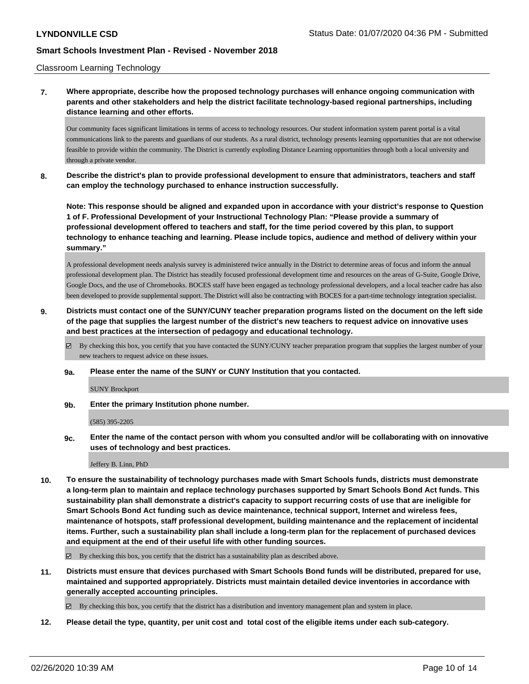#### Classroom Learning Technology

## **7. Where appropriate, describe how the proposed technology purchases will enhance ongoing communication with parents and other stakeholders and help the district facilitate technology-based regional partnerships, including distance learning and other efforts.**

Our community faces significant limitations in terms of access to technology resources. Our student information system parent portal is a vital communications link to the parents and guardians of our students. As a rural district, technology presents learning opportunities that are not otherwise feasible to provide within the community. The District is currently exploding Distance Learning opportunities through both a local university and through a private vendor.

**8. Describe the district's plan to provide professional development to ensure that administrators, teachers and staff can employ the technology purchased to enhance instruction successfully.**

**Note: This response should be aligned and expanded upon in accordance with your district's response to Question 1 of F. Professional Development of your Instructional Technology Plan: "Please provide a summary of professional development offered to teachers and staff, for the time period covered by this plan, to support technology to enhance teaching and learning. Please include topics, audience and method of delivery within your summary."**

A professional development needs analysis survey is administered twice annually in the District to determine areas of focus and inform the annual professional development plan. The District has steadily focused professional development time and resources on the areas of G-Suite, Google Drive, Google Docs, and the use of Chromebooks. BOCES staff have been engaged as technology professional developers, and a local teacher cadre has also been developed to provide supplemental support. The District will also be contracting with BOCES for a part-time technology integration specialist.

## **9. Districts must contact one of the SUNY/CUNY teacher preparation programs listed on the document on the left side of the page that supplies the largest number of the district's new teachers to request advice on innovative uses and best practices at the intersection of pedagogy and educational technology.**

 $\boxtimes$  By checking this box, you certify that you have contacted the SUNY/CUNY teacher preparation program that supplies the largest number of your new teachers to request advice on these issues.

**9a. Please enter the name of the SUNY or CUNY Institution that you contacted.**

SUNY Brockport

**9b. Enter the primary Institution phone number.**

(585) 395-2205

**9c. Enter the name of the contact person with whom you consulted and/or will be collaborating with on innovative uses of technology and best practices.**

Jeffery B. Linn, PhD

**10. To ensure the sustainability of technology purchases made with Smart Schools funds, districts must demonstrate a long-term plan to maintain and replace technology purchases supported by Smart Schools Bond Act funds. This sustainability plan shall demonstrate a district's capacity to support recurring costs of use that are ineligible for Smart Schools Bond Act funding such as device maintenance, technical support, Internet and wireless fees, maintenance of hotspots, staff professional development, building maintenance and the replacement of incidental items. Further, such a sustainability plan shall include a long-term plan for the replacement of purchased devices and equipment at the end of their useful life with other funding sources.**

By checking this box, you certify that the district has a sustainability plan as described above.

**11. Districts must ensure that devices purchased with Smart Schools Bond funds will be distributed, prepared for use, maintained and supported appropriately. Districts must maintain detailed device inventories in accordance with generally accepted accounting principles.**

By checking this box, you certify that the district has a distribution and inventory management plan and system in place.

**12. Please detail the type, quantity, per unit cost and total cost of the eligible items under each sub-category.**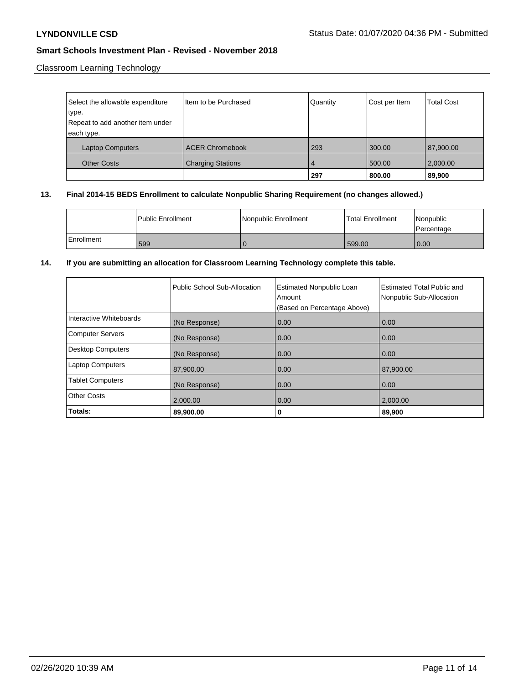Classroom Learning Technology

| Select the allowable expenditure | Item to be Purchased     | Quantity | Cost per Item | <b>Total Cost</b> |
|----------------------------------|--------------------------|----------|---------------|-------------------|
| type.                            |                          |          |               |                   |
| Repeat to add another item under |                          |          |               |                   |
| each type.                       |                          |          |               |                   |
| <b>Laptop Computers</b>          | <b>ACER Chromebook</b>   | 293      | 300.00        | 87,900.00         |
| <b>Other Costs</b>               | <b>Charging Stations</b> | 4        | 500.00        | 2,000.00          |
|                                  |                          | 297      | 800.00        | 89,900            |

### **13. Final 2014-15 BEDS Enrollment to calculate Nonpublic Sharing Requirement (no changes allowed.)**

|            | l Public Enrollment | Nonpublic Enrollment | Total Enrollment | l Nonpublic<br>l Percentage |
|------------|---------------------|----------------------|------------------|-----------------------------|
| Enrollment | 599                 |                      | 599.00           | 0.00                        |

### **14. If you are submitting an allocation for Classroom Learning Technology complete this table.**

|                          | Public School Sub-Allocation | <b>Estimated Nonpublic Loan</b><br>Amount<br>(Based on Percentage Above) | <b>Estimated Total Public and</b><br>Nonpublic Sub-Allocation |
|--------------------------|------------------------------|--------------------------------------------------------------------------|---------------------------------------------------------------|
| Interactive Whiteboards  | (No Response)                | 0.00                                                                     | 0.00                                                          |
| <b>Computer Servers</b>  | (No Response)                | 0.00                                                                     | 0.00                                                          |
| <b>Desktop Computers</b> | (No Response)                | 0.00                                                                     | 0.00                                                          |
| <b>Laptop Computers</b>  | 87,900.00                    | 0.00                                                                     | 87,900.00                                                     |
| <b>Tablet Computers</b>  | (No Response)                | 0.00                                                                     | 0.00                                                          |
| <b>Other Costs</b>       | 2,000.00                     | 0.00                                                                     | 2,000.00                                                      |
| Totals:                  | 89,900.00                    | 0                                                                        | 89,900                                                        |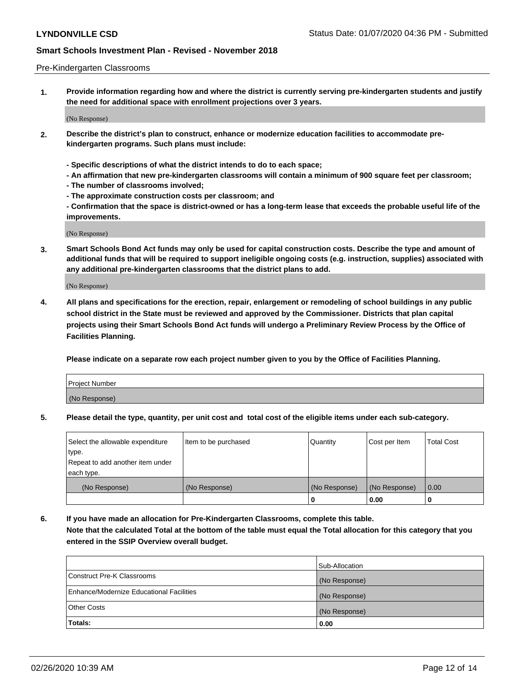#### Pre-Kindergarten Classrooms

**1. Provide information regarding how and where the district is currently serving pre-kindergarten students and justify the need for additional space with enrollment projections over 3 years.**

(No Response)

- **2. Describe the district's plan to construct, enhance or modernize education facilities to accommodate prekindergarten programs. Such plans must include:**
	- **Specific descriptions of what the district intends to do to each space;**
	- **An affirmation that new pre-kindergarten classrooms will contain a minimum of 900 square feet per classroom;**
	- **The number of classrooms involved;**
	- **The approximate construction costs per classroom; and**
	- **Confirmation that the space is district-owned or has a long-term lease that exceeds the probable useful life of the improvements.**

(No Response)

**3. Smart Schools Bond Act funds may only be used for capital construction costs. Describe the type and amount of additional funds that will be required to support ineligible ongoing costs (e.g. instruction, supplies) associated with any additional pre-kindergarten classrooms that the district plans to add.**

(No Response)

**4. All plans and specifications for the erection, repair, enlargement or remodeling of school buildings in any public school district in the State must be reviewed and approved by the Commissioner. Districts that plan capital projects using their Smart Schools Bond Act funds will undergo a Preliminary Review Process by the Office of Facilities Planning.**

**Please indicate on a separate row each project number given to you by the Office of Facilities Planning.**

| Project Number |  |
|----------------|--|
| (No Response)  |  |
|                |  |

**5. Please detail the type, quantity, per unit cost and total cost of the eligible items under each sub-category.**

| Select the allowable expenditure | Item to be purchased | Quantity      | Cost per Item | <b>Total Cost</b> |
|----------------------------------|----------------------|---------------|---------------|-------------------|
| type.                            |                      |               |               |                   |
| Repeat to add another item under |                      |               |               |                   |
| each type.                       |                      |               |               |                   |
| (No Response)                    | (No Response)        | (No Response) | (No Response) | 0.00              |
|                                  |                      | υ             | 0.00          |                   |

**6. If you have made an allocation for Pre-Kindergarten Classrooms, complete this table. Note that the calculated Total at the bottom of the table must equal the Total allocation for this category that you entered in the SSIP Overview overall budget.**

|                                          | Sub-Allocation |
|------------------------------------------|----------------|
| Construct Pre-K Classrooms               | (No Response)  |
| Enhance/Modernize Educational Facilities | (No Response)  |
| <b>Other Costs</b>                       | (No Response)  |
| Totals:                                  | 0.00           |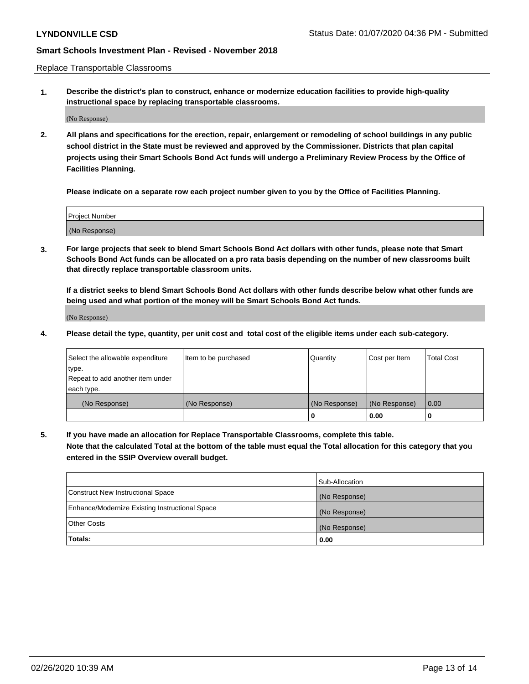Replace Transportable Classrooms

**1. Describe the district's plan to construct, enhance or modernize education facilities to provide high-quality instructional space by replacing transportable classrooms.**

(No Response)

**2. All plans and specifications for the erection, repair, enlargement or remodeling of school buildings in any public school district in the State must be reviewed and approved by the Commissioner. Districts that plan capital projects using their Smart Schools Bond Act funds will undergo a Preliminary Review Process by the Office of Facilities Planning.**

**Please indicate on a separate row each project number given to you by the Office of Facilities Planning.**

| Project Number |  |
|----------------|--|
|                |  |
|                |  |
|                |  |
| (No Response)  |  |
|                |  |
|                |  |

**3. For large projects that seek to blend Smart Schools Bond Act dollars with other funds, please note that Smart Schools Bond Act funds can be allocated on a pro rata basis depending on the number of new classrooms built that directly replace transportable classroom units.**

**If a district seeks to blend Smart Schools Bond Act dollars with other funds describe below what other funds are being used and what portion of the money will be Smart Schools Bond Act funds.**

(No Response)

**4. Please detail the type, quantity, per unit cost and total cost of the eligible items under each sub-category.**

| Select the allowable expenditure | Item to be purchased | Quantity      | Cost per Item | Total Cost |
|----------------------------------|----------------------|---------------|---------------|------------|
| ∣type.                           |                      |               |               |            |
| Repeat to add another item under |                      |               |               |            |
| each type.                       |                      |               |               |            |
| (No Response)                    | (No Response)        | (No Response) | (No Response) | 0.00       |
|                                  |                      | u             | 0.00          |            |

**5. If you have made an allocation for Replace Transportable Classrooms, complete this table. Note that the calculated Total at the bottom of the table must equal the Total allocation for this category that you entered in the SSIP Overview overall budget.**

|                                                | Sub-Allocation |
|------------------------------------------------|----------------|
| Construct New Instructional Space              | (No Response)  |
| Enhance/Modernize Existing Instructional Space | (No Response)  |
| Other Costs                                    | (No Response)  |
| Totals:                                        | 0.00           |